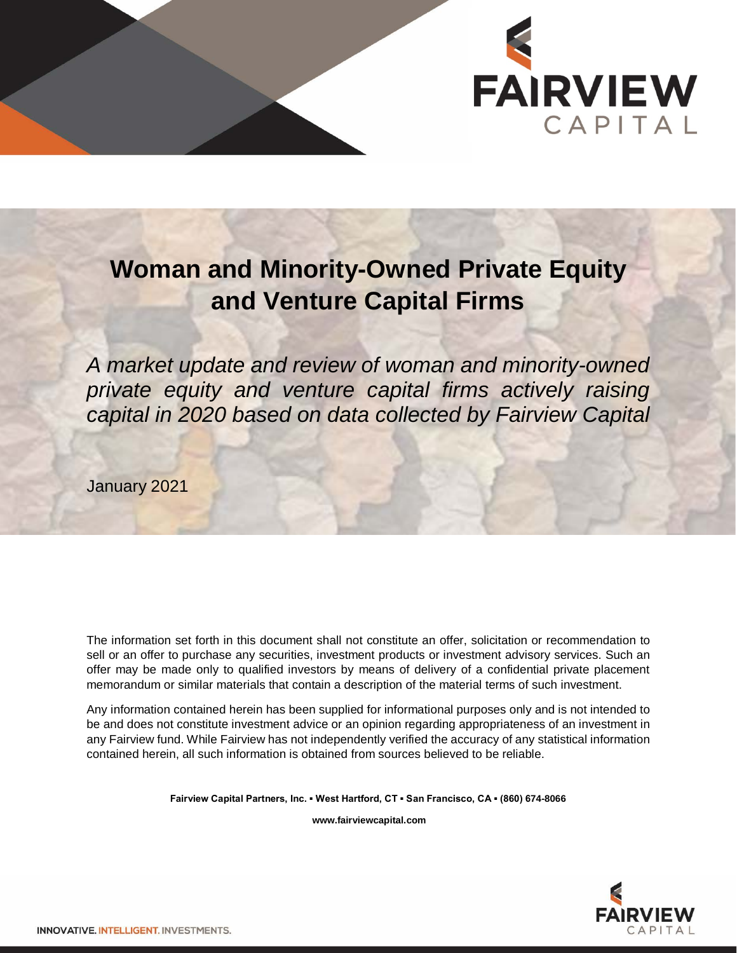

# **Woman and Minority-Owned Private Equity and Venture Capital Firms**

*A market update and review of woman and minority-owned private equity and venture capital firms actively raising capital in 2020 based on data collected by Fairview Capital*

January 2021

The information set forth in this document shall not constitute an offer, solicitation or recommendation to sell or an offer to purchase any securities, investment products or investment advisory services. Such an offer may be made only to qualified investors by means of delivery of a confidential private placement memorandum or similar materials that contain a description of the material terms of such investment.

Any information contained herein has been supplied for informational purposes only and is not intended to be and does not constitute investment advice or an opinion regarding appropriateness of an investment in any Fairview fund. While Fairview has not independently verified the accuracy of any statistical information contained herein, all such information is obtained from sources believed to be reliable.

**Fairview Capital Partners, Inc. ▪ West Hartford, CT ▪ San Francisco, CA ▪ (860) 674-8066**

**www.fairviewcapital.com**

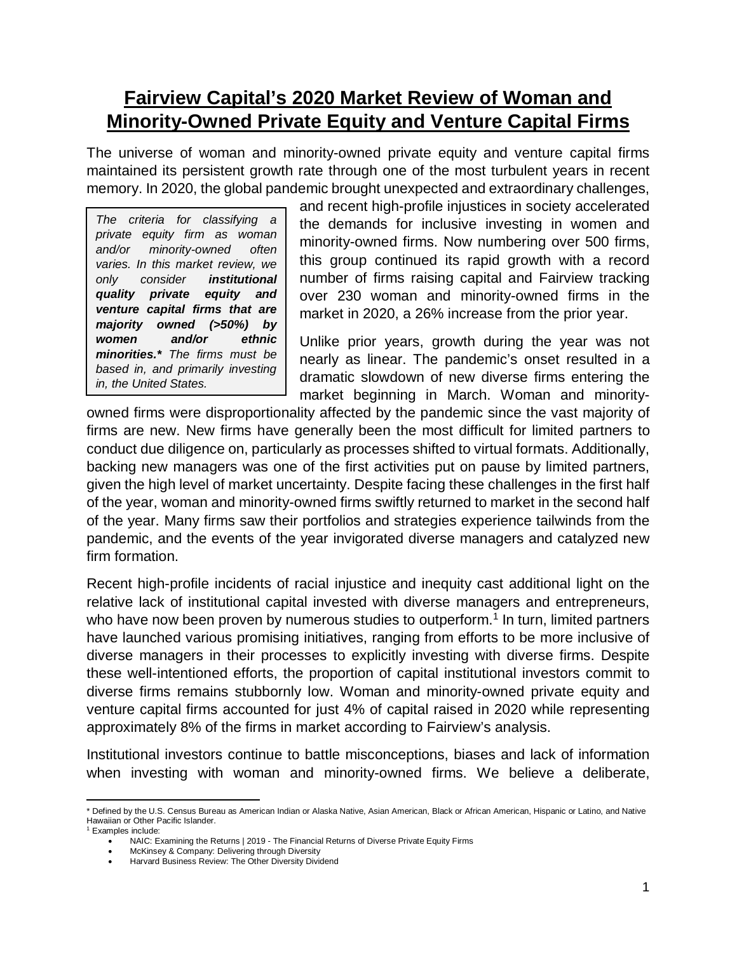## **Fairview Capital's 2020 Market Review of Woman and Minority-Owned Private Equity and Venture Capital Firms**

The universe of woman and minority-owned private equity and venture capital firms maintained its persistent growth rate through one of the most turbulent years in recent memory. In 2020, the global pandemic brought unexpected and extraordinary challenges,

*The criteria for classifying a private equity firm as woman and/or minority-owned often varies. In this market review, we only consider institutional quality private equity and venture capital firms that are majority owned (>50%) by women and/or ethnic minorities.\* The firms must be based in, and primarily investing in, the United States.*

and recent high-profile injustices in society accelerated the demands for inclusive investing in women and minority-owned firms. Now numbering over 500 firms, this group continued its rapid growth with a record number of firms raising capital and Fairview tracking over 230 woman and minority-owned firms in the market in 2020, a 26% increase from the prior year.

Unlike prior years, growth during the year was not nearly as linear. The pandemic's onset resulted in a dramatic slowdown of new diverse firms entering the market beginning in March. Woman and minority-

owned firms were disproportionality affected by the pandemic since the vast majority of firms are new. New firms have generally been the most difficult for limited partners to conduct due diligence on, particularly as processes shifted to virtual formats. Additionally, backing new managers was one of the first activities put on pause by limited partners, given the high level of market uncertainty. Despite facing these challenges in the first half of the year, woman and minority-owned firms swiftly returned to market in the second half of the year. Many firms saw their portfolios and strategies experience tailwinds from the pandemic, and the events of the year invigorated diverse managers and catalyzed new firm formation.

Recent high-profile incidents of racial injustice and inequity cast additional light on the relative lack of institutional capital invested with diverse managers and entrepreneurs, who have now been proven by numerous studies to outperform.<sup>1</sup> In turn, limited partners have launched various promising initiatives, ranging from efforts to be more inclusive of diverse managers in their processes to explicitly investing with diverse firms. Despite these well-intentioned efforts, the proportion of capital institutional investors commit to diverse firms remains stubbornly low. Woman and minority-owned private equity and venture capital firms accounted for just 4% of capital raised in 2020 while representing approximately 8% of the firms in market according to Fairview's analysis.

Institutional investors continue to battle misconceptions, biases and lack of information when investing with woman and minority-owned firms. We believe a deliberate,

l \* Defined by the U.S. Census Bureau as American Indian or Alaska Native, Asian American, Black or African American, Hispanic or Latino, and Native Hawaiian or Other Pacific Islander. <sup>1</sup> Examples include:

<sup>•</sup> NAIC: Examining the Returns | 2019 - The Financial Returns of Diverse Private Equity Firms<br>• McKinsey & Company: Delivering through Diversity

McKinsey & Company: Delivering through Diversity

<sup>•</sup> Harvard Business Review: The Other Diversity Dividend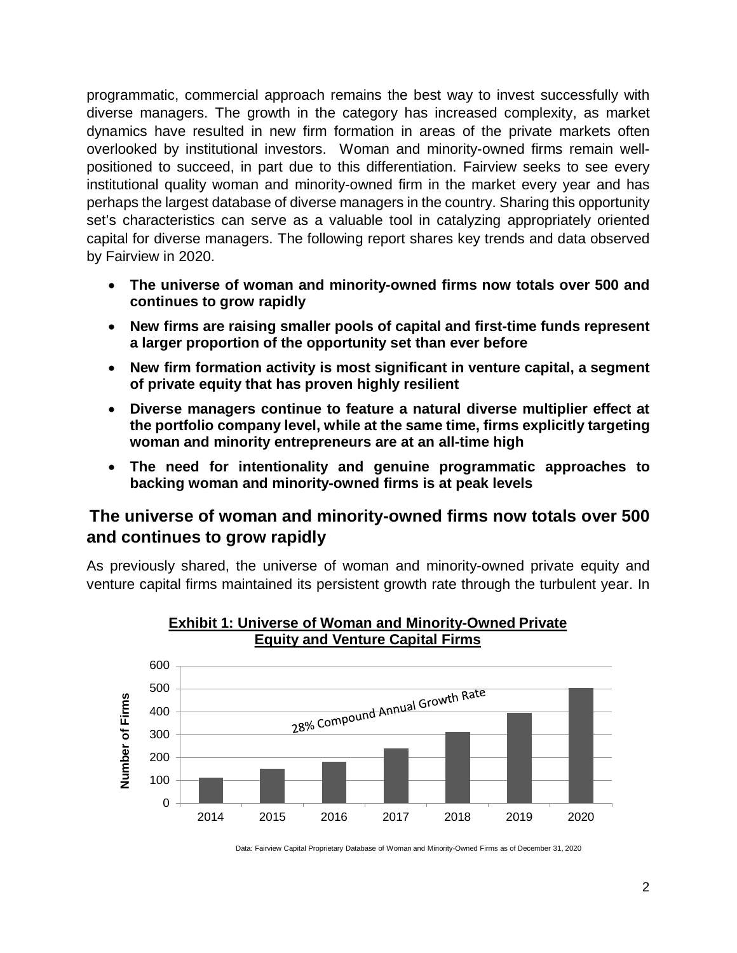programmatic, commercial approach remains the best way to invest successfully with diverse managers. The growth in the category has increased complexity, as market dynamics have resulted in new firm formation in areas of the private markets often overlooked by institutional investors. Woman and minority-owned firms remain wellpositioned to succeed, in part due to this differentiation. Fairview seeks to see every institutional quality woman and minority-owned firm in the market every year and has perhaps the largest database of diverse managers in the country. Sharing this opportunity set's characteristics can serve as a valuable tool in catalyzing appropriately oriented capital for diverse managers. The following report shares key trends and data observed by Fairview in 2020.

- **The universe of woman and minority-owned firms now totals over 500 and continues to grow rapidly**
- **New firms are raising smaller pools of capital and first-time funds represent a larger proportion of the opportunity set than ever before**
- **New firm formation activity is most significant in venture capital, a segment of private equity that has proven highly resilient**
- **Diverse managers continue to feature a natural diverse multiplier effect at the portfolio company level, while at the same time, firms explicitly targeting woman and minority entrepreneurs are at an all-time high**
- **The need for intentionality and genuine programmatic approaches to backing woman and minority-owned firms is at peak levels**

#### **The universe of woman and minority-owned firms now totals over 500 and continues to grow rapidly**

As previously shared, the universe of woman and minority-owned private equity and venture capital firms maintained its persistent growth rate through the turbulent year. In



#### **Exhibit 1: Universe of Woman and Minority-Owned Private Equity and Venture Capital Firms**

Data: Fairview Capital Proprietary Database of Woman and Minority-Owned Firms as of December 31, 2020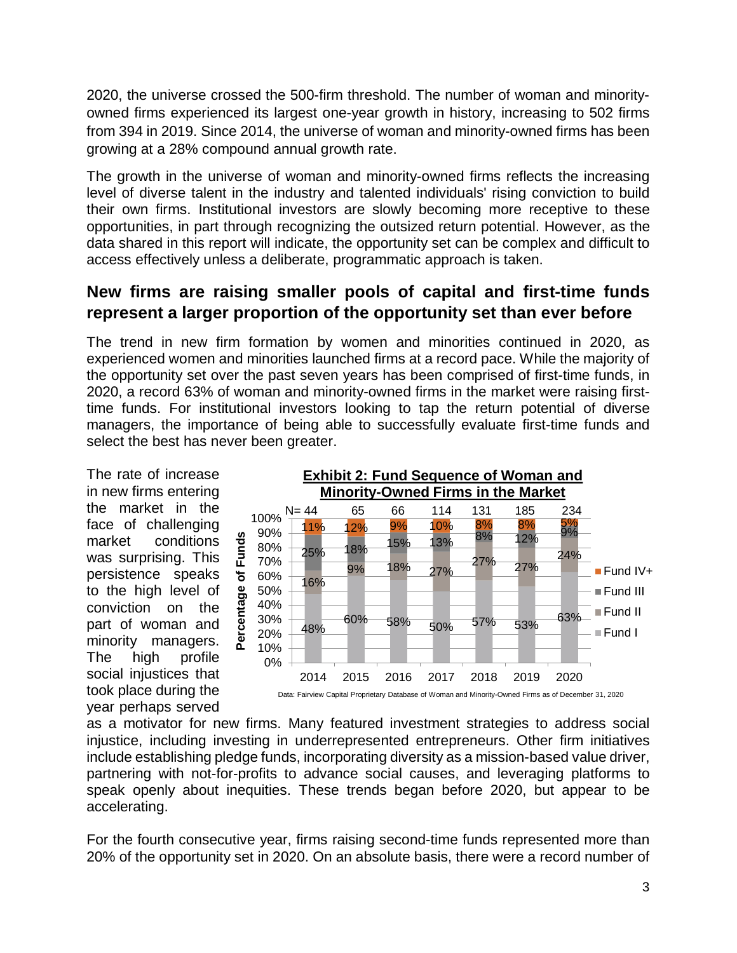2020, the universe crossed the 500-firm threshold. The number of woman and minorityowned firms experienced its largest one-year growth in history, increasing to 502 firms from 394 in 2019. Since 2014, the universe of woman and minority-owned firms has been growing at a 28% compound annual growth rate.

The growth in the universe of woman and minority-owned firms reflects the increasing level of diverse talent in the industry and talented individuals' rising conviction to build their own firms. Institutional investors are slowly becoming more receptive to these opportunities, in part through recognizing the outsized return potential. However, as the data shared in this report will indicate, the opportunity set can be complex and difficult to access effectively unless a deliberate, programmatic approach is taken.

#### **New firms are raising smaller pools of capital and first-time funds represent a larger proportion of the opportunity set than ever before**

The trend in new firm formation by women and minorities continued in 2020, as experienced women and minorities launched firms at a record pace. While the majority of the opportunity set over the past seven years has been comprised of first-time funds, in 2020, a record 63% of woman and minority-owned firms in the market were raising firsttime funds. For institutional investors looking to tap the return potential of diverse managers, the importance of being able to successfully evaluate first-time funds and select the best has never been greater.

The rate of increase in new firms entering the market in the face of challenging market conditions was surprising. This persistence speaks to the high level of conviction on the part of woman and minority managers. The high profile social injustices that took place during the year perhaps served



as a motivator for new firms. Many featured investment strategies to address social injustice, including investing in underrepresented entrepreneurs. Other firm initiatives include establishing pledge funds, incorporating diversity as a mission-based value driver, partnering with not-for-profits to advance social causes, and leveraging platforms to speak openly about inequities. These trends began before 2020, but appear to be accelerating.

For the fourth consecutive year, firms raising second-time funds represented more than 20% of the opportunity set in 2020. On an absolute basis, there were a record number of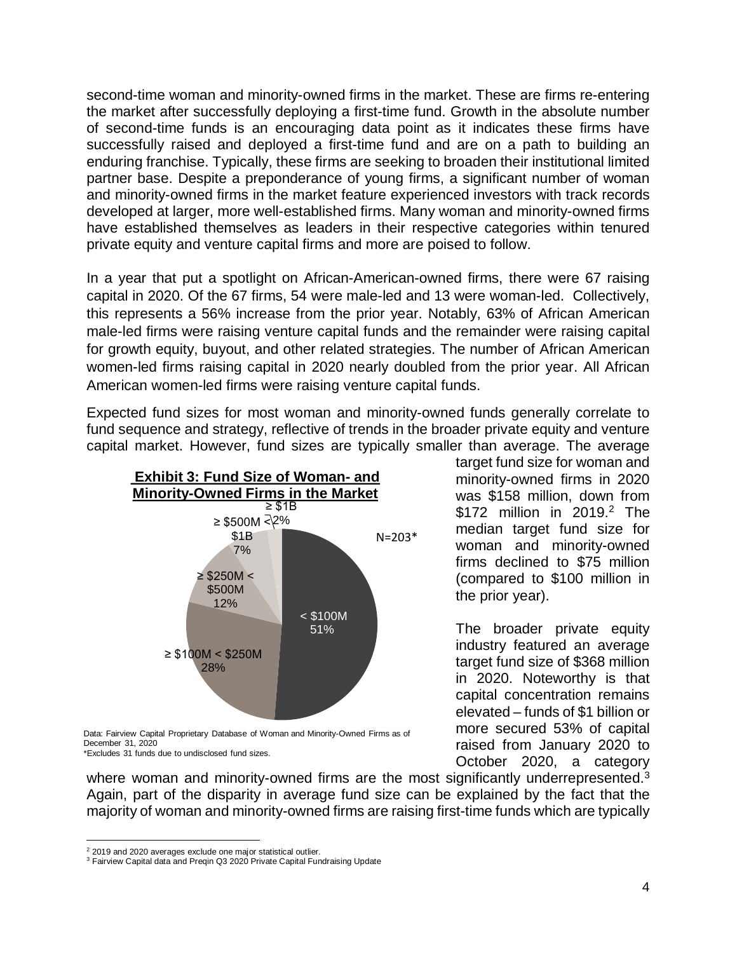second-time woman and minority-owned firms in the market. These are firms re-entering the market after successfully deploying a first-time fund. Growth in the absolute number of second-time funds is an encouraging data point as it indicates these firms have successfully raised and deployed a first-time fund and are on a path to building an enduring franchise. Typically, these firms are seeking to broaden their institutional limited partner base. Despite a preponderance of young firms, a significant number of woman and minority-owned firms in the market feature experienced investors with track records developed at larger, more well-established firms. Many woman and minority-owned firms have established themselves as leaders in their respective categories within tenured private equity and venture capital firms and more are poised to follow.

In a year that put a spotlight on African-American-owned firms, there were 67 raising capital in 2020. Of the 67 firms, 54 were male-led and 13 were woman-led. Collectively, this represents a 56% increase from the prior year. Notably, 63% of African American male-led firms were raising venture capital funds and the remainder were raising capital for growth equity, buyout, and other related strategies. The number of African American women-led firms raising capital in 2020 nearly doubled from the prior year. All African American women-led firms were raising venture capital funds.

Expected fund sizes for most woman and minority-owned funds generally correlate to fund sequence and strategy, reflective of trends in the broader private equity and venture capital market. However, fund sizes are typically smaller than average. The average



Data: Fairview Capital Proprietary Database of Woman and Minority-Owned Firms as of December 31, 2020 \*Excludes 31 funds due to undisclosed fund sizes.

where woman and minority-owned firms are the most significantly underrepresented.<sup>3</sup> Again, part of the disparity in average fund size can be explained by the fact that the majority of woman and minority-owned firms are raising first-time funds which are typically

 $\overline{a}$ 

target fund size for woman and minority-owned firms in 2020 was \$158 million, down from \$172 million in 2019. <sup>2</sup> The median target fund size for woman and minority-owned firms declined to \$75 million (compared to \$100 million in the prior year).

The broader private equity industry featured an average target fund size of \$368 million in 2020. Noteworthy is that capital concentration remains elevated – funds of \$1 billion or more secured 53% of capital raised from January 2020 to October 2020, a category

<sup>&</sup>lt;sup>2</sup> 2019 and 2020 averages exclude one major statistical outlier.

<sup>&</sup>lt;sup>3</sup> Fairview Capital data and Preqin Q3 2020 Private Capital Fundraising Update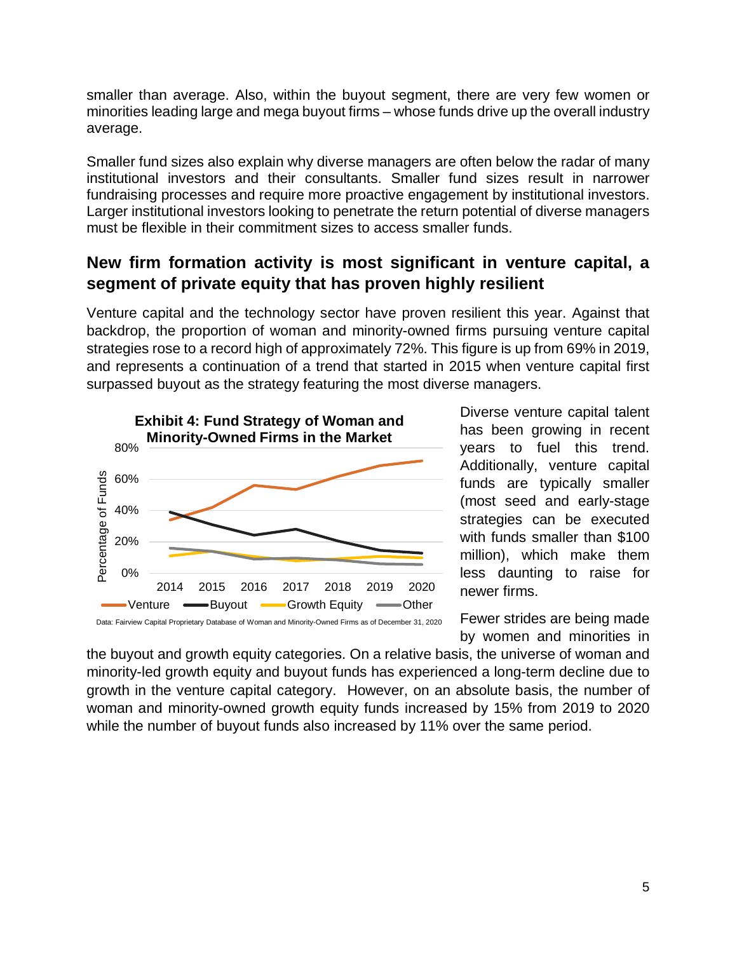smaller than average. Also, within the buyout segment, there are very few women or minorities leading large and mega buyout firms – whose funds drive up the overall industry average.

Smaller fund sizes also explain why diverse managers are often below the radar of many institutional investors and their consultants. Smaller fund sizes result in narrower fundraising processes and require more proactive engagement by institutional investors. Larger institutional investors looking to penetrate the return potential of diverse managers must be flexible in their commitment sizes to access smaller funds.

### **New firm formation activity is most significant in venture capital, a segment of private equity that has proven highly resilient**

Venture capital and the technology sector have proven resilient this year. Against that backdrop, the proportion of woman and minority-owned firms pursuing venture capital strategies rose to a record high of approximately 72%. This figure is up from 69% in 2019, and represents a continuation of a trend that started in 2015 when venture capital first surpassed buyout as the strategy featuring the most diverse managers.



Diverse venture capital talent has been growing in recent years to fuel this trend. Additionally, venture capital funds are typically smaller (most seed and early-stage strategies can be executed with funds smaller than \$100 million), which make them less daunting to raise for newer firms.

Fewer strides are being made by women and minorities in

the buyout and growth equity categories. On a relative basis, the universe of woman and minority-led growth equity and buyout funds has experienced a long-term decline due to growth in the venture capital category. However, on an absolute basis, the number of woman and minority-owned growth equity funds increased by 15% from 2019 to 2020 while the number of buyout funds also increased by 11% over the same period.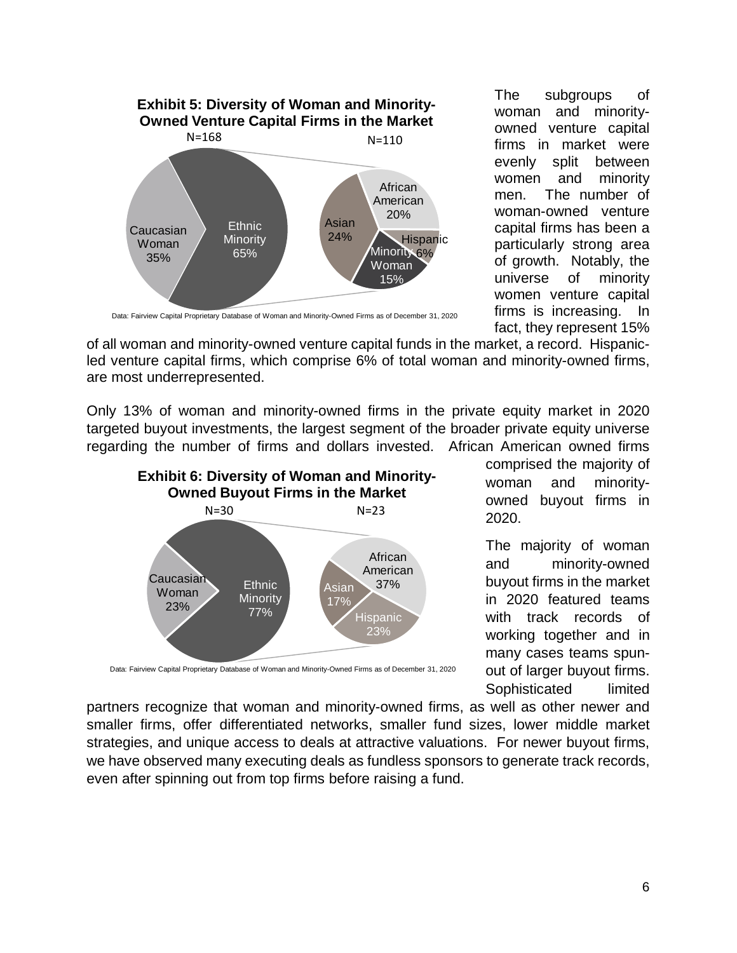

The subgroups of woman and minorityowned venture capital firms in market were evenly split between women and minority men. The number of woman-owned venture capital firms has been a particularly strong area of growth. Notably, the universe of minority women venture capital firms is increasing. In fact, they represent 15%

Data: Fairview Capital Proprietary Database of Woman and Minority-Owned Firms as of December 31, 2020

of all woman and minority-owned venture capital funds in the market, a record. Hispanicled venture capital firms, which comprise 6% of total woman and minority-owned firms, are most underrepresented.

Only 13% of woman and minority-owned firms in the private equity market in 2020 targeted buyout investments, the largest segment of the broader private equity universe regarding the number of firms and dollars invested. African American owned firms



comprised the majority of woman and minorityowned buyout firms in 2020.

The majority of woman and minority-owned buyout firms in the market in 2020 featured teams with track records of working together and in many cases teams spunout of larger buyout firms. Sophisticated limited

Data: Fairview Capital Proprietary Database of Woman and Minority-Owned Firms as of December 31, 2020

partners recognize that woman and minority-owned firms, as well as other newer and smaller firms, offer differentiated networks, smaller fund sizes, lower middle market strategies, and unique access to deals at attractive valuations. For newer buyout firms, we have observed many executing deals as fundless sponsors to generate track records, even after spinning out from top firms before raising a fund.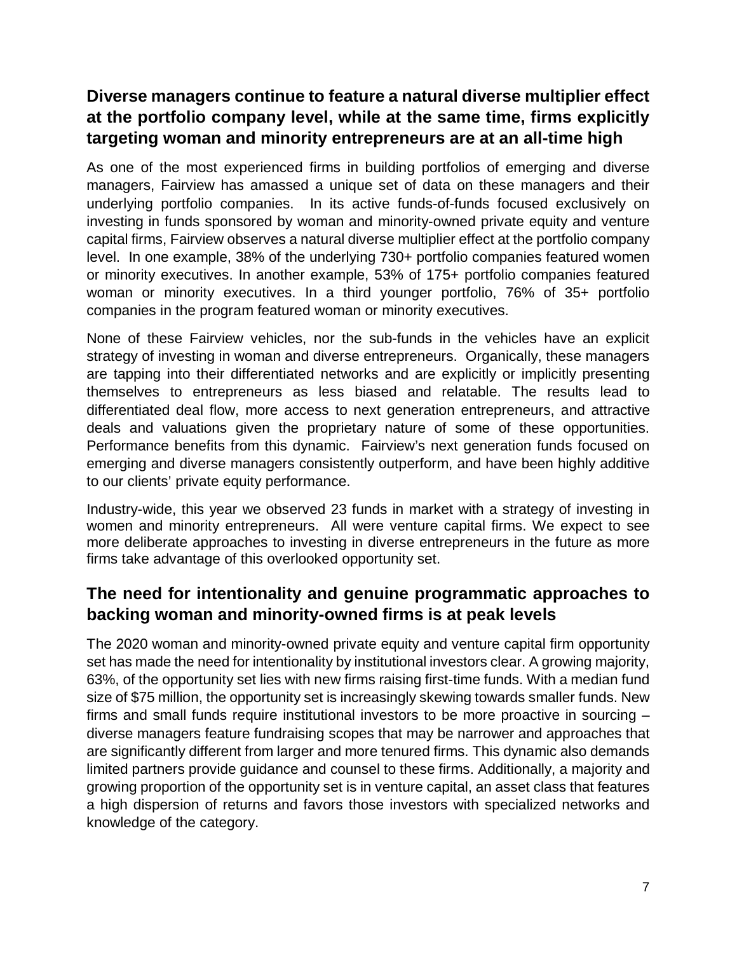### **Diverse managers continue to feature a natural diverse multiplier effect at the portfolio company level, while at the same time, firms explicitly targeting woman and minority entrepreneurs are at an all-time high**

As one of the most experienced firms in building portfolios of emerging and diverse managers, Fairview has amassed a unique set of data on these managers and their underlying portfolio companies. In its active funds-of-funds focused exclusively on investing in funds sponsored by woman and minority-owned private equity and venture capital firms, Fairview observes a natural diverse multiplier effect at the portfolio company level. In one example, 38% of the underlying 730+ portfolio companies featured women or minority executives. In another example, 53% of 175+ portfolio companies featured woman or minority executives. In a third younger portfolio, 76% of 35+ portfolio companies in the program featured woman or minority executives.

None of these Fairview vehicles, nor the sub-funds in the vehicles have an explicit strategy of investing in woman and diverse entrepreneurs. Organically, these managers are tapping into their differentiated networks and are explicitly or implicitly presenting themselves to entrepreneurs as less biased and relatable. The results lead to differentiated deal flow, more access to next generation entrepreneurs, and attractive deals and valuations given the proprietary nature of some of these opportunities. Performance benefits from this dynamic. Fairview's next generation funds focused on emerging and diverse managers consistently outperform, and have been highly additive to our clients' private equity performance.

Industry-wide, this year we observed 23 funds in market with a strategy of investing in women and minority entrepreneurs. All were venture capital firms. We expect to see more deliberate approaches to investing in diverse entrepreneurs in the future as more firms take advantage of this overlooked opportunity set.

#### **The need for intentionality and genuine programmatic approaches to backing woman and minority-owned firms is at peak levels**

The 2020 woman and minority-owned private equity and venture capital firm opportunity set has made the need for intentionality by institutional investors clear. A growing majority, 63%, of the opportunity set lies with new firms raising first-time funds. With a median fund size of \$75 million, the opportunity set is increasingly skewing towards smaller funds. New firms and small funds require institutional investors to be more proactive in sourcing – diverse managers feature fundraising scopes that may be narrower and approaches that are significantly different from larger and more tenured firms. This dynamic also demands limited partners provide guidance and counsel to these firms. Additionally, a majority and growing proportion of the opportunity set is in venture capital, an asset class that features a high dispersion of returns and favors those investors with specialized networks and knowledge of the category.